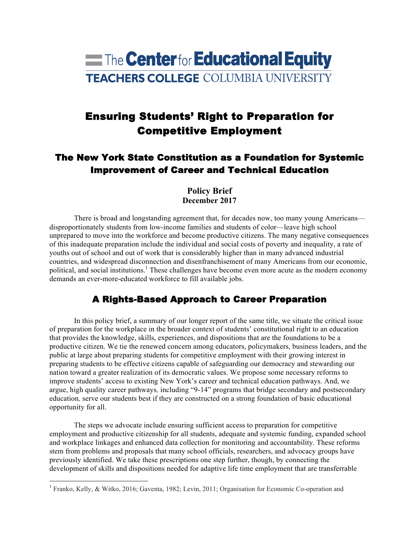# **The Centerfor Educational Equity TEACHERS COLLEGE COLUMBIA UNIVERSITY**

## Ensuring Students' Right to Preparation for Competitive Employment

## The New York State Constitution as a Foundation for Systemic Improvement of Career and Technical Education

#### **Policy Brief December 2017**

There is broad and longstanding agreement that, for decades now, too many young Americans disproportionately students from low-income families and students of color—leave high school unprepared to move into the workforce and become productive citizens. The many negative consequences of this inadequate preparation include the individual and social costs of poverty and inequality, a rate of youths out of school and out of work that is considerably higher than in many advanced industrial countries, and widespread disconnection and disenfranchisement of many Americans from our economic, political, and social institutions.<sup>1</sup> These challenges have become even more acute as the modern economy demands an ever-more-educated workforce to fill available jobs.

## A Rights-Based Approach to Career Preparation

In this policy brief, a summary of our longer report of the same title, we situate the critical issue of preparation for the workplace in the broader context of students' constitutional right to an education that provides the knowledge, skills, experiences, and dispositions that are the foundations to be a productive citizen. We tie the renewed concern among educators, policymakers, business leaders, and the public at large about preparing students for competitive employment with their growing interest in preparing students to be effective citizens capable of safeguarding our democracy and stewarding our nation toward a greater realization of its democratic values. We propose some necessary reforms to improve students' access to existing New York's career and technical education pathways. And, we argue, high quality career pathways*,* including "9-14" programs that bridge secondary and postsecondary education*,* serve our students best if they are constructed on a strong foundation of basic educational opportunity for all.

The steps we advocate include ensuring sufficient access to preparation for competitive employment and productive citizenship for all students, adequate and systemic funding, expanded school and workplace linkages and enhanced data collection for monitoring and accountability. These reforms stem from problems and proposals that many school officials, researchers, and advocacy groups have previously identified. We take these prescriptions one step further, though, by connecting the development of skills and dispositions needed for adaptive life time employment that are transferrable

 <sup>1</sup> Franko, Kelly, & Witko, 2016; Gaventa, 1982; Levin, 2011; Organisation for Economic Co-operation and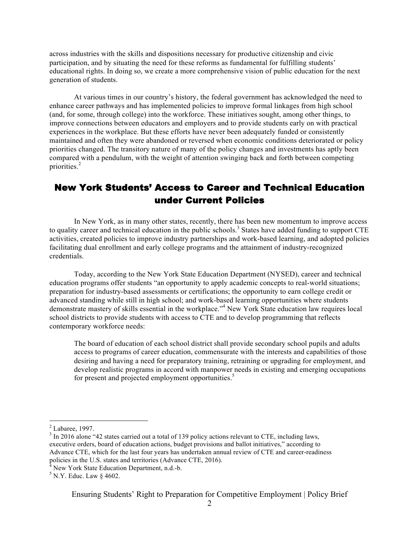across industries with the skills and dispositions necessary for productive citizenship and civic participation, and by situating the need for these reforms as fundamental for fulfilling students' educational rights. In doing so, we create a more comprehensive vision of public education for the next generation of students.

At various times in our country's history, the federal government has acknowledged the need to enhance career pathways and has implemented policies to improve formal linkages from high school (and, for some, through college) into the workforce. These initiatives sought, among other things, to improve connections between educators and employers and to provide students early on with practical experiences in the workplace. But these efforts have never been adequately funded or consistently maintained and often they were abandoned or reversed when economic conditions deteriorated or policy priorities changed. The transitory nature of many of the policy changes and investments has aptly been compared with a pendulum, with the weight of attention swinging back and forth between competing priorities.<sup>2</sup>

## New York Students' Access to Career and Technical Education under Current Policies

In New York, as in many other states, recently, there has been new momentum to improve access to quality career and technical education in the public schools.<sup>3</sup> States have added funding to support CTE activities, created policies to improve industry partnerships and work-based learning, and adopted policies facilitating dual enrollment and early college programs and the attainment of industry-recognized credentials.

Today, according to the New York State Education Department (NYSED), career and technical education programs offer students "an opportunity to apply academic concepts to real-world situations; preparation for industry-based assessments or certifications; the opportunity to earn college credit or advanced standing while still in high school; and work-based learning opportunities where students demonstrate mastery of skills essential in the workplace."<sup>4</sup> New York State education law requires local school districts to provide students with access to CTE and to develop programming that reflects contemporary workforce needs:

The board of education of each school district shall provide secondary school pupils and adults access to programs of career education, commensurate with the interests and capabilities of those desiring and having a need for preparatory training, retraining or upgrading for employment, and develop realistic programs in accord with manpower needs in existing and emerging occupations for present and projected employment opportunities.<sup>5</sup>

<sup>&</sup>lt;sup>2</sup> Labaree, 1997.<br><sup>3</sup> In 2016 alone "42 states carried out a total of 139 policy actions relevant to CTE, including laws, executive orders, board of education actions, budget provisions and ballot initiatives," according to Advance CTE, which for the last four years has undertaken annual review of CTE and career-readiness policies in the U.S. states and territories (Advance CTE, 2016).<br><sup>4</sup> New York State Education Department, n.d.-b.<br><sup>5</sup> N.Y. Educ. Law § 4602.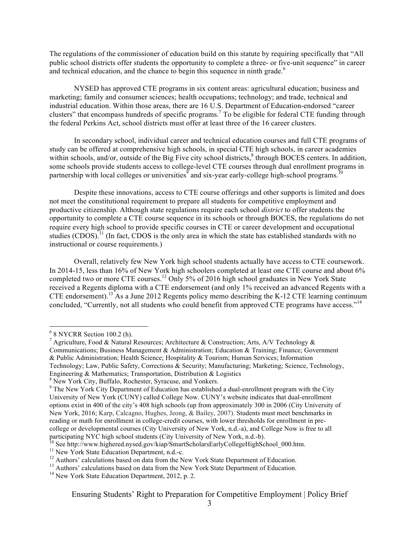The regulations of the commissioner of education build on this statute by requiring specifically that "All public school districts offer students the opportunity to complete a three- or five-unit sequence" in career and technical education, and the chance to begin this sequence in ninth grade.<sup>6</sup>

NYSED has approved CTE programs in six content areas: agricultural education; business and marketing; family and consumer sciences; health occupations; technology; and trade, technical and industrial education. Within those areas, there are 16 U.S. Department of Education-endorsed "career clusters" that encompass hundreds of specific programs.<sup>7</sup> To be eligible for federal CTE funding through the federal Perkins Act, school districts must offer at least three of the 16 career clusters.

In secondary school, individual career and technical education courses and full CTE programs of study can be offered at comprehensive high schools, in special CTE high schools, in career academies within schools, and/or, outside of the Big Five city school districts,<sup>8</sup> through BOCES centers. In addition, some schools provide students access to college-level CTE courses through dual enrollment programs in partnership with local colleges or universities  $\delta$  and six-year early-college high-school programs.<sup>10</sup>

Despite these innovations, access to CTE course offerings and other supports is limited and does not meet the constitutional requirement to prepare all students for competitive employment and productive citizenship. Although state regulations require each school *district* to offer students the opportunity to complete a CTE course sequence in its schools or through BOCES, the regulations do not require every high school to provide specific courses in CTE or career development and occupational studies (CDOS).<sup>11</sup> (In fact, CDOS is the only area in which the state has established standards with no instructional or course requirements.)

Overall, relatively few New York high school students actually have access to CTE coursework. In 2014-15, less than 16% of New York high schoolers completed at least one CTE course and about 6% completed two or more CTE courses.<sup>12</sup> Only 5% of 2016 high school graduates in New York State received a Regents diploma with a CTE endorsement (and only 1% received an advanced Regents with a CTE endorsement).<sup>13</sup> As a June 2012 Regents policy memo describing the K-12 CTE learning continuum concluded, "Currently, not all students who could benefit from approved CTE programs have access."<sup>14</sup>

<sup>&</sup>lt;sup>6</sup> 8 NYCRR Section 100.2 (h).<br><sup>7</sup> Agriculture, Food & Natural Resources; Architecture & Construction; Arts, A/V Technology & Communications; Business Management & Administration; Education & Training; Finance; Government & Public Administration; Health Science; Hospitality & Tourism; Human Services; Information Technology; Law, Public Safety, Corrections & Security; Manufacturing; Marketing; Science, Technology, Engineering & Mathematics; Transportation, Distribution & Logistics

<sup>&</sup>lt;sup>8</sup> New York City, Buffalo, Rochester, Syracuse, and Yonkers.

<sup>&</sup>lt;sup>9</sup> The New York City Department of Education has established a dual-enrollment program with the City University of New York (CUNY) called College Now. CUNY's website indicates that dual-enrollment options exist in 400 of the city's 408 high schools (up from approximately 300 in 2006 (City University of New York, 2016; Karp, Calcagno, Hughes, Jeong, & Bailey, 2007). Students must meet benchmarks in reading or math for enrollment in college-credit courses, with lower thresholds for enrollment in precollege or developmental courses (City University of New York, n.d.-a), and College Now is free to all participating NYC high school students (City University of New York, n.d.-b).<br>
<sup>10</sup> See http://www.highered.nysed.gov/kiap/SmartScholarsEarlyCollegeHighSchool\_000.htm.<br>
<sup>11</sup> New York State Education Department, n.d.-c.<br>
<sup></sup>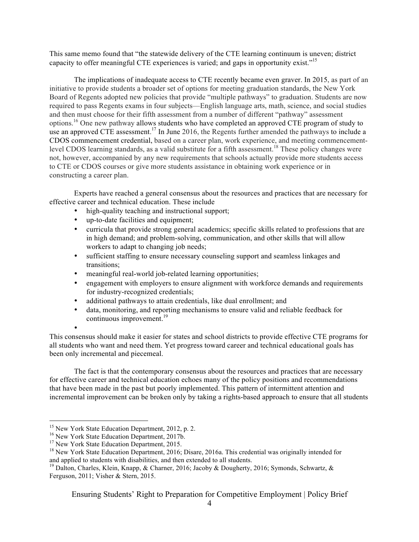This same memo found that "the statewide delivery of the CTE learning continuum is uneven; district capacity to offer meaningful CTE experiences is varied; and gaps in opportunity exist."<sup>15</sup>

The implications of inadequate access to CTE recently became even graver. In 2015, as part of an initiative to provide students a broader set of options for meeting graduation standards, the New York Board of Regents adopted new policies that provide "multiple pathways" to graduation. Students are now required to pass Regents exams in four subjects—English language arts, math, science, and social studies and then must choose for their fifth assessment from a number of different "pathway" assessment options.<sup>16</sup> One new pathway allows students who have completed an approved CTE program of study to use an approved CTE assessment.<sup>17</sup> In June 2016, the Regents further amended the pathways to include a CDOS commencement credential, based on a career plan, work experience, and meeting commencementlevel CDOS learning standards, as a valid substitute for a fifth assessment.<sup>18</sup> These policy changes were not, however, accompanied by any new requirements that schools actually provide more students access to CTE or CDOS courses or give more students assistance in obtaining work experience or in constructing a career plan.

Experts have reached a general consensus about the resources and practices that are necessary for effective career and technical education. These include

- high-quality teaching and instructional support;
- up-to-date facilities and equipment;
- curricula that provide strong general academics; specific skills related to professions that are in high demand; and problem-solving, communication, and other skills that will allow workers to adapt to changing job needs;
- sufficient staffing to ensure necessary counseling support and seamless linkages and transitions;
- meaningful real-world job-related learning opportunities;
- engagement with employers to ensure alignment with workforce demands and requirements for industry-recognized credentials;
- additional pathways to attain credentials, like dual enrollment; and
- data, monitoring, and reporting mechanisms to ensure valid and reliable feedback for continuous improvement.<sup>19</sup>

• This consensus should make it easier for states and school districts to provide effective CTE programs for all students who want and need them. Yet progress toward career and technical educational goals has been only incremental and piecemeal.

The fact is that the contemporary consensus about the resources and practices that are necessary for effective career and technical education echoes many of the policy positions and recommendations that have been made in the past but poorly implemented. This pattern of intermittent attention and incremental improvement can be broken only by taking a rights-based approach to ensure that all students

<sup>&</sup>lt;sup>15</sup> New York State Education Department, 2012, p. 2.<br><sup>16</sup> New York State Education Department, 2017b.<br><sup>17</sup> New York State Education Department, 2015.<br><sup>18</sup> New York State Education Department, 2016; Disare, 2016a. This cr

<sup>&</sup>lt;sup>19</sup> Dalton, Charles, Klein, Knapp, & Charner, 2016; Jacoby & Dougherty, 2016; Symonds, Schwartz, & Ferguson, 2011; Visher & Stern, 2015.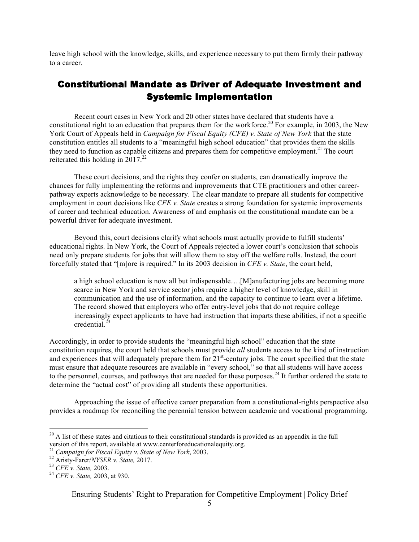leave high school with the knowledge, skills, and experience necessary to put them firmly their pathway to a career.

### Constitutional Mandate as Driver of Adequate Investment and Systemic Implementation

Recent court cases in New York and 20 other states have declared that students have a constitutional right to an education that prepares them for the workforce.<sup>20</sup> For example, in 2003, the New York Court of Appeals held in *Campaign for Fiscal Equity (CFE) v. State of New York* that the state constitution entitles all students to a "meaningful high school education" that provides them the skills they need to function as capable citizens and prepares them for competitive employment.<sup>21</sup> The court reiterated this holding in  $2017.<sup>22</sup>$ 

These court decisions, and the rights they confer on students, can dramatically improve the chances for fully implementing the reforms and improvements that CTE practitioners and other careerpathway experts acknowledge to be necessary. The clear mandate to prepare all students for competitive employment in court decisions like *CFE v. State* creates a strong foundation for systemic improvements of career and technical education. Awareness of and emphasis on the constitutional mandate can be a powerful driver for adequate investment.

Beyond this, court decisions clarify what schools must actually provide to fulfill students' educational rights. In New York, the Court of Appeals rejected a lower court's conclusion that schools need only prepare students for jobs that will allow them to stay off the welfare rolls. Instead, the court forcefully stated that "[m]ore is required." In its 2003 decision in *CFE v. State*, the court held,

a high school education is now all but indispensable….[M]anufacturing jobs are becoming more scarce in New York and service sector jobs require a higher level of knowledge, skill in communication and the use of information, and the capacity to continue to learn over a lifetime. The record showed that employers who offer entry-level jobs that do not require college increasingly expect applicants to have had instruction that imparts these abilities, if not a specific credential. $^{23}$ 

Accordingly, in order to provide students the "meaningful high school" education that the state constitution requires, the court held that schools must provide *all* students access to the kind of instruction and experiences that will adequately prepare them for  $21^{st}$ -century jobs. The court specified that the state must ensure that adequate resources are available in "every school," so that all students will have access to the personnel, courses, and pathways that are needed for these purposes.<sup>24</sup> It further ordered the state to determine the "actual cost" of providing all students these opportunities.

Approaching the issue of effective career preparation from a constitutional-rights perspective also provides a roadmap for reconciling the perennial tension between academic and vocational programming.

 $^{20}$  A list of these states and citations to their constitutional standards is provided as an appendix in the full version of this report, available at www.centerforeducationalequity.org.

<sup>21</sup> *Campaign for Fiscal Equity v. State of New York*, 2003. <sup>22</sup> Aristy-Farer/*NYSER v. State,* 2017. <sup>23</sup> *CFE v. State,* 2003. 24 *CFE v. State,* 2003, at 930.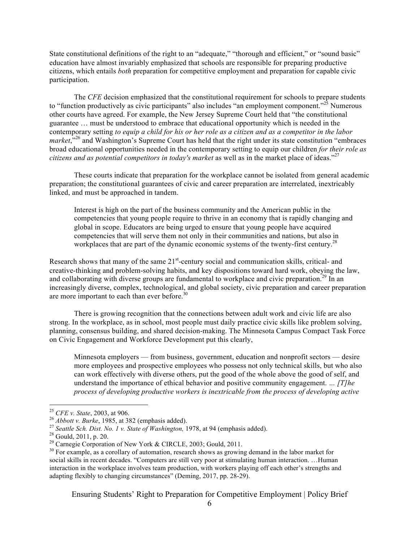State constitutional definitions of the right to an "adequate," "thorough and efficient," or "sound basic" education have almost invariably emphasized that schools are responsible for preparing productive citizens, which entails *both* preparation for competitive employment and preparation for capable civic participation.

The *CFE* decision emphasized that the constitutional requirement for schools to prepare students to "function productively as civic participants" also includes "an employment component."<sup>25</sup> Numerous other courts have agreed. For example, the New Jersey Supreme Court held that "the constitutional guarantee … must be understood to embrace that educational opportunity which is needed in the contemporary setting *to equip a child for his or her role as a citizen and as a competitor in the labor market*,<sup>"26</sup> and Washington's Supreme Court has held that the right under its state constitution "embraces" broad educational opportunities needed in the contemporary setting to equip our children *for their role as citizens and as potential competitors in today's market* as well as in the market place of ideas."<sup>27</sup>

These courts indicate that preparation for the workplace cannot be isolated from general academic preparation; the constitutional guarantees of civic and career preparation are interrelated, inextricably linked, and must be approached in tandem.

Interest is high on the part of the business community and the American public in the competencies that young people require to thrive in an economy that is rapidly changing and global in scope. Educators are being urged to ensure that young people have acquired competencies that will serve them not only in their communities and nations, but also in workplaces that are part of the dynamic economic systems of the twenty-first century.<sup>28</sup>

Research shows that many of the same  $21<sup>st</sup>$ -century social and communication skills, critical- and creative-thinking and problem-solving habits, and key dispositions toward hard work, obeying the law, and collaborating with diverse groups are fundamental to workplace and civic preparation.<sup>29</sup> In an increasingly diverse, complex, technological, and global society, civic preparation and career preparation are more important to each than ever before.<sup>30</sup>

There is growing recognition that the connections between adult work and civic life are also strong. In the workplace, as in school, most people must daily practice civic skills like problem solving, planning, consensus building, and shared decision-making. The Minnesota Campus Compact Task Force on Civic Engagement and Workforce Development put this clearly,

Minnesota employers — from business, government, education and nonprofit sectors — desire more employees and prospective employees who possess not only technical skills, but who also can work effectively with diverse others, put the good of the whole above the good of self, and understand the importance of ethical behavior and positive community engagement. *… [T]he process of developing productive workers is inextricable from the process of developing active* 

<sup>&</sup>lt;sup>25</sup> *CFE v. State,* 2003, at 906.<br><sup>26</sup> *Abbott v. Burke*, 1985, at 382 (emphasis added).<br><sup>27</sup> *Seattle Sch. Dist. No. 1 v. State of Washington*, 1978, at 94 (emphasis added).<br><sup>28</sup> Gould, 2011, p. 20.<br><sup>29</sup> Carnegie Corpor social skills in recent decades. "Computers are still very poor at stimulating human interaction. ... Human interaction in the workplace involves team production, with workers playing off each other's strengths and adapting flexibly to changing circumstances" (Deming, 2017, pp. 28-29).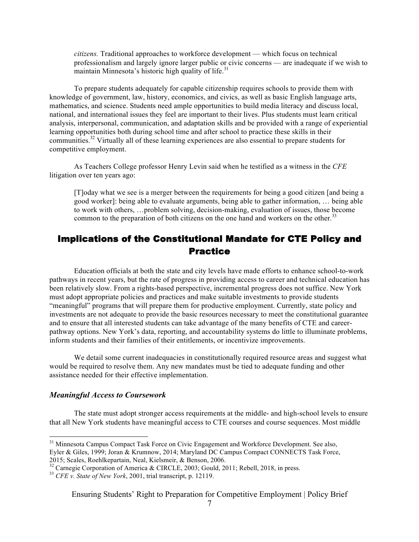*citizens.* Traditional approaches to workforce development — which focus on technical professionalism and largely ignore larger public or civic concerns — are inadequate if we wish to maintain Minnesota's historic high quality of life.<sup>31</sup>

To prepare students adequately for capable citizenship requires schools to provide them with knowledge of government, law, history, economics, and civics, as well as basic English language arts, mathematics, and science. Students need ample opportunities to build media literacy and discuss local, national, and international issues they feel are important to their lives. Plus students must learn critical analysis, interpersonal, communication, and adaptation skills and be provided with a range of experiential learning opportunities both during school time and after school to practice these skills in their communities.<sup>32</sup> Virtually all of these learning experiences are also essential to prepare students for competitive employment.

As Teachers College professor Henry Levin said when he testified as a witness in the *CFE* litigation over ten years ago:

[T]oday what we see is a merger between the requirements for being a good citizen [and being a good worker]: being able to evaluate arguments, being able to gather information, … being able to work with others, …problem solving, decision-making, evaluation of issues, those become common to the preparation of both citizens on the one hand and workers on the other.<sup>33</sup>

## Implications of the Constitutional Mandate for CTE Policy and Practice

Education officials at both the state and city levels have made efforts to enhance school-to-work pathways in recent years, but the rate of progress in providing access to career and technical education has been relatively slow. From a rights-based perspective, incremental progress does not suffice. New York must adopt appropriate policies and practices and make suitable investments to provide students "meaningful" programs that will prepare them for productive employment. Currently, state policy and investments are not adequate to provide the basic resources necessary to meet the constitutional guarantee and to ensure that all interested students can take advantage of the many benefits of CTE and careerpathway options. New York's data, reporting, and accountability systems do little to illuminate problems, inform students and their families of their entitlements, or incentivize improvements.

We detail some current inadequacies in constitutionally required resource areas and suggest what would be required to resolve them. Any new mandates must be tied to adequate funding and other assistance needed for their effective implementation.

#### *Meaningful Access to Coursework*

The state must adopt stronger access requirements at the middle- and high-school levels to ensure that all New York students have meaningful access to CTE courses and course sequences. Most middle

<sup>&</sup>lt;sup>31</sup> Minnesota Campus Compact Task Force on Civic Engagement and Workforce Development. See also, Eyler & Giles, 1999; Joran & Krumnow, 2014; Maryland DC Campus Compact CONNECTS Task Force, 2015; Scales, Roehlkepartain, Neal, Kielsmeir, & Benson, 2006.

<sup>32</sup> Carnegie Corporation of America & CIRCLE, 2003; Gould, 2011; Rebell, 2018, in press. <sup>33</sup> *CFE v. State of New York*, 2001, trial transcript, p. 12119.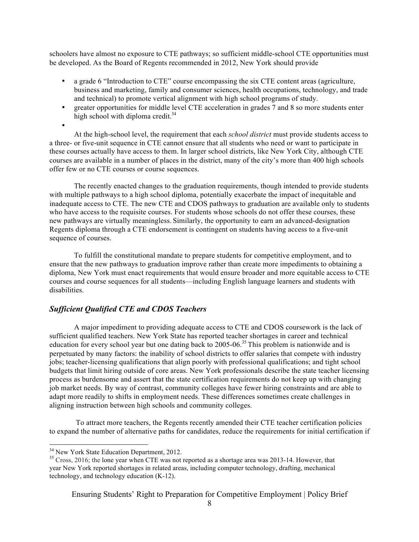schoolers have almost no exposure to CTE pathways; so sufficient middle-school CTE opportunities must be developed. As the Board of Regents recommended in 2012, New York should provide

- a grade 6 "Introduction to CTE" course encompassing the six CTE content areas (agriculture, business and marketing, family and consumer sciences, health occupations, technology, and trade and technical) to promote vertical alignment with high school programs of study.
- greater opportunities for middle level CTE acceleration in grades 7 and 8 so more students enter high school with diploma credit. $34$

•

At the high-school level, the requirement that each *school district* must provide students access to a three- or five-unit sequence in CTE cannot ensure that all students who need or want to participate in these courses actually have access to them. In larger school districts, like New York City, although CTE courses are available in a number of places in the district, many of the city's more than 400 high schools offer few or no CTE courses or course sequences.

The recently enacted changes to the graduation requirements, though intended to provide students with multiple pathways to a high school diploma, potentially exacerbate the impact of inequitable and inadequate access to CTE. The new CTE and CDOS pathways to graduation are available only to students who have access to the requisite courses. For students whose schools do not offer these courses, these new pathways are virtually meaningless. Similarly, the opportunity to earn an advanced-designation Regents diploma through a CTE endorsement is contingent on students having access to a five-unit sequence of courses.

To fulfill the constitutional mandate to prepare students for competitive employment, and to ensure that the new pathways to graduation improve rather than create more impediments to obtaining a diploma, New York must enact requirements that would ensure broader and more equitable access to CTE courses and course sequences for all students—including English language learners and students with disabilities.

#### *Sufficient Qualified CTE and CDOS Teachers*

A major impediment to providing adequate access to CTE and CDOS coursework is the lack of sufficient qualified teachers. New York State has reported teacher shortages in career and technical education for every school year but one dating back to 2005-06.<sup>35</sup> This problem is nationwide and is perpetuated by many factors: the inability of school districts to offer salaries that compete with industry jobs; teacher-licensing qualifications that align poorly with professional qualifications; and tight school budgets that limit hiring outside of core areas. New York professionals describe the state teacher licensing process as burdensome and assert that the state certification requirements do not keep up with changing job market needs. By way of contrast, community colleges have fewer hiring constraints and are able to adapt more readily to shifts in employment needs. These differences sometimes create challenges in aligning instruction between high schools and community colleges.

To attract more teachers, the Regents recently amended their CTE teacher certification policies to expand the number of alternative paths for candidates, reduce the requirements for initial certification if

 $34$  New York State Education Department, 2012.<br> $35$  Cross, 2016; the lone year when CTE was not reported as a shortage area was 2013-14. However, that year New York reported shortages in related areas, including computer technology, drafting, mechanical technology, and technology education (K-12).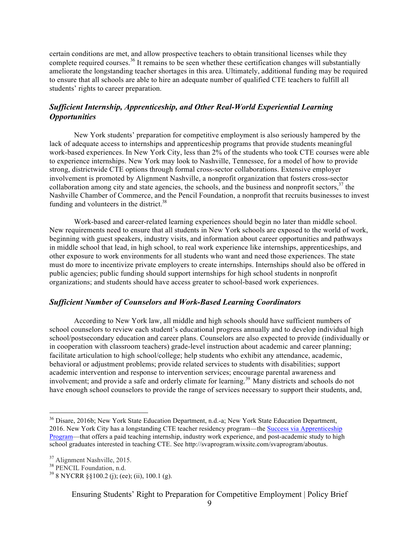certain conditions are met, and allow prospective teachers to obtain transitional licenses while they complete required courses.<sup>36</sup> It remains to be seen whether these certification changes will substantially ameliorate the longstanding teacher shortages in this area. Ultimately, additional funding may be required to ensure that all schools are able to hire an adequate number of qualified CTE teachers to fulfill all students' rights to career preparation.

#### *Sufficient Internship, Apprenticeship, and Other Real-World Experiential Learning Opportunities*

New York students' preparation for competitive employment is also seriously hampered by the lack of adequate access to internships and apprenticeship programs that provide students meaningful work-based experiences. In New York City, less than 2% of the students who took CTE courses were able to experience internships. New York may look to Nashville, Tennessee, for a model of how to provide strong, districtwide CTE options through formal cross-sector collaborations. Extensive employer involvement is promoted by Alignment Nashville, a nonprofit organization that fosters cross-sector collaboration among city and state agencies, the schools, and the business and nonprofit sectors,  $37$  the Nashville Chamber of Commerce, and the Pencil Foundation, a nonprofit that recruits businesses to invest funding and volunteers in the district. $38$ 

Work-based and career-related learning experiences should begin no later than middle school. New requirements need to ensure that all students in New York schools are exposed to the world of work, beginning with guest speakers, industry visits, and information about career opportunities and pathways in middle school that lead, in high school, to real work experience like internships, apprenticeships, and other exposure to work environments for all students who want and need those experiences. The state must do more to incentivize private employers to create internships. Internships should also be offered in public agencies; public funding should support internships for high school students in nonprofit organizations; and students should have access greater to school-based work experiences.

#### *Sufficient Number of Counselors and Work-Based Learning Coordinators*

According to New York law, all middle and high schools should have sufficient numbers of school counselors to review each student's educational progress annually and to develop individual high school/postsecondary education and career plans. Counselors are also expected to provide (individually or in cooperation with classroom teachers) grade-level instruction about academic and career planning; facilitate articulation to high school/college; help students who exhibit any attendance, academic, behavioral or adjustment problems; provide related services to students with disabilities; support academic intervention and response to intervention services; encourage parental awareness and involvement; and provide a safe and orderly climate for learning.<sup>39</sup> Many districts and schools do not have enough school counselors to provide the range of services necessary to support their students, and,

<sup>&</sup>lt;sup>36</sup> Disare, 2016b; New York State Education Department, n.d.-a; New York State Education Department, 2016. New York City has a longstanding CTE teacher residency program—the Success via Apprenticeship Program—that offers a paid teaching internship, industry work experience, and post-academic study to high school graduates interested in teaching CTE. See http://svaprogram.wixsite.com/svaprogram/aboutus.

<sup>&</sup>lt;sup>37</sup> Alignment Nashville, 2015.<br><sup>38</sup> PENCIL Foundation, n.d.<br><sup>39</sup> 8 NYCRR §§100.2 (j); (ee); (ii), 100.1 (g).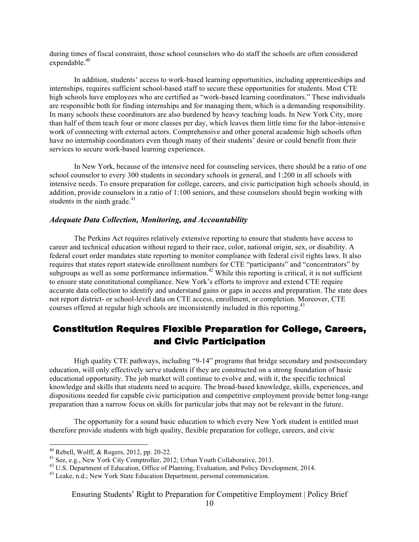during times of fiscal constraint, those school counselors who do staff the schools are often considered expendable.<sup>40</sup>

In addition, students' access to work-based learning opportunities, including apprenticeships and internships, requires sufficient school-based staff to secure these opportunities for students. Most CTE high schools have employees who are certified as "work-based learning coordinators." These individuals are responsible both for finding internships and for managing them, which is a demanding responsibility. In many schools these coordinators are also burdened by heavy teaching loads. In New York City, more than half of them teach four or more classes per day, which leaves them little time for the labor-intensive work of connecting with external actors. Comprehensive and other general academic high schools often have no internship coordinators even though many of their students' desire or could benefit from their services to secure work-based learning experiences.

In New York, because of the intensive need for counseling services, there should be a ratio of one school counselor to every 300 students in secondary schools in general, and 1:200 in all schools with intensive needs. To ensure preparation for college, careers, and civic participation high schools should, in addition, provide counselors in a ratio of 1:100 seniors, and these counselors should begin working with students in the ninth grade.<sup>41</sup>

#### *Adequate Data Collection, Monitoring, and Accountability*

The Perkins Act requires relatively extensive reporting to ensure that students have access to career and technical education without regard to their race, color, national origin, sex, or disability. A federal court order mandates state reporting to monitor compliance with federal civil rights laws. It also requires that states report statewide enrollment numbers for CTE "participants" and "concentrators" by subgroups as well as some performance information.<sup>42</sup> While this reporting is critical, it is not sufficient to ensure state constitutional compliance. New York's efforts to improve and extend CTE require accurate data collection to identify and understand gains or gaps in access and preparation. The state does not report district- or school-level data on CTE access, enrollment, or completion. Moreover, CTE courses offered at regular high schools are inconsistently included in this reporting.<sup>43</sup>

## Constitution Requires Flexible Preparation for College, Careers, and Civic Participation

High quality CTE pathways, including "9-14" programs that bridge secondary and postsecondary education, will only effectively serve students if they are constructed on a strong foundation of basic educational opportunity. The job market will continue to evolve and, with it, the specific technical knowledge and skills that students need to acquire. The broad-based knowledge, skills, experiences, and dispositions needed for capable civic participation and competitive employment provide better long-range preparation than a narrow focus on skills for particular jobs that may not be relevant in the future.

The opportunity for a sound basic education to which every New York student is entitled must therefore provide students with high quality, flexible preparation for college, careers, and civic

<sup>&</sup>lt;sup>40</sup> Rebell, Wolff, & Rogers, 2012, pp. 20-22.<br><sup>41</sup> See, e.g., New York City Comptroller, 2012; Urban Youth Collaborative, 2013.<br><sup>42</sup> U.S. Department of Education, Office of Planning, Evaluation, and Policy Development, 2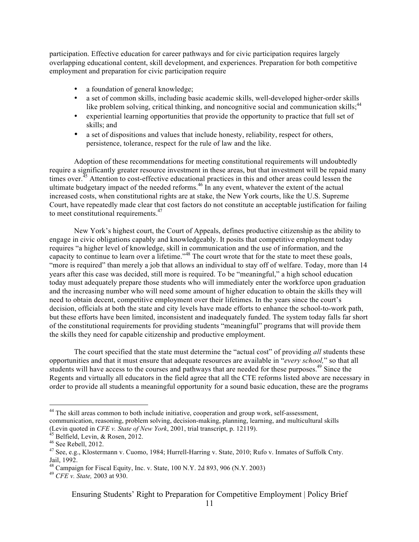participation. Effective education for career pathways and for civic participation requires largely overlapping educational content, skill development, and experiences. Preparation for both competitive employment and preparation for civic participation require

- a foundation of general knowledge;
- a set of common skills, including basic academic skills, well-developed higher-order skills like problem solving, critical thinking, and noncognitive social and communication skills;<sup>44</sup>
- experiential learning opportunities that provide the opportunity to practice that full set of skills; and
- a set of dispositions and values that include honesty, reliability, respect for others, persistence, tolerance, respect for the rule of law and the like.

Adoption of these recommendations for meeting constitutional requirements will undoubtedly require a significantly greater resource investment in these areas, but that investment will be repaid many times over.<sup>45</sup> Attention to cost-effective educational practices in this and other areas could lessen the ultimate budgetary impact of the needed reforms.<sup>46</sup> In any event, whatever the extent of the actual increased costs, when constitutional rights are at stake, the New York courts, like the U.S. Supreme Court, have repeatedly made clear that cost factors do not constitute an acceptable justification for failing to meet constitutional requirements.<sup>47</sup>

New York's highest court, the Court of Appeals, defines productive citizenship as the ability to engage in civic obligations capably and knowledgeably. It posits that competitive employment today requires "a higher level of knowledge, skill in communication and the use of information, and the capacity to continue to learn over a lifetime."<sup>48</sup> The court wrote that for the state to meet these goals, "more is required" than merely a job that allows an individual to stay off of welfare. Today, more than 14 years after this case was decided, still more is required. To be "meaningful," a high school education today must adequately prepare those students who will immediately enter the workforce upon graduation and the increasing number who will need some amount of higher education to obtain the skills they will need to obtain decent, competitive employment over their lifetimes. In the years since the court's decision, officials at both the state and city levels have made efforts to enhance the school-to-work path, but these efforts have been limited, inconsistent and inadequately funded. The system today falls far short of the constitutional requirements for providing students "meaningful" programs that will provide them the skills they need for capable citizenship and productive employment.

The court specified that the state must determine the "actual cost" of providing *all* students these opportunities and that it must ensure that adequate resources are available in "*every school,*" so that all students will have access to the courses and pathways that are needed for these purposes.<sup>49</sup> Since the Regents and virtually all educators in the field agree that all the CTE reforms listed above are necessary in order to provide all students a meaningful opportunity for a sound basic education, these are the programs

<sup>&</sup>lt;sup>44</sup> The skill areas common to both include initiative, cooperation and group work, self-assessment, communication, reasoning, problem solving, decision-making, planning, learning, and multicultural skills (Levin quoted in *CFE v. State of New York*, 2001, trial transcript, p. 12119).<br>
<sup>45</sup> Belfield, Levin, & Rosen, 2012.<br>
<sup>46</sup> See Rebell, 2012.<br>
<sup>47</sup> See, e.g., Klostermann v. Cuomo, 1984: Hurrell-Harring v. State, 2010; Ru

Jail, 1992.

<sup>48</sup> Campaign for Fiscal Equity, Inc. v. State, 100 N.Y. 2d 893, 906 (N.Y. 2003) <sup>49</sup> *CFE v. State,* 2003 at 930.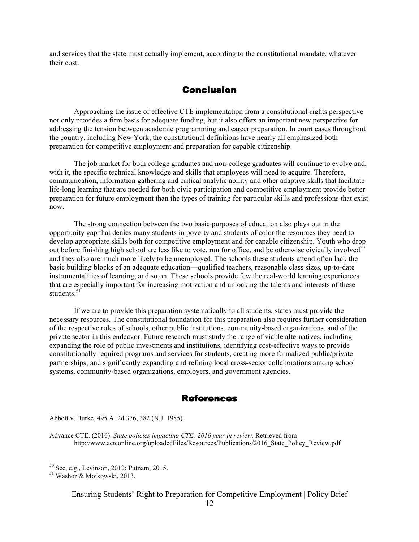and services that the state must actually implement, according to the constitutional mandate, whatever their cost.

#### **Conclusion**

Approaching the issue of effective CTE implementation from a constitutional-rights perspective not only provides a firm basis for adequate funding, but it also offers an important new perspective for addressing the tension between academic programming and career preparation. In court cases throughout the country, including New York, the constitutional definitions have nearly all emphasized both preparation for competitive employment and preparation for capable citizenship.

The job market for both college graduates and non-college graduates will continue to evolve and, with it, the specific technical knowledge and skills that employees will need to acquire. Therefore, communication, information gathering and critical analytic ability and other adaptive skills that facilitate life-long learning that are needed for both civic participation and competitive employment provide better preparation for future employment than the types of training for particular skills and professions that exist now.

The strong connection between the two basic purposes of education also plays out in the opportunity gap that denies many students in poverty and students of color the resources they need to develop appropriate skills both for competitive employment and for capable citizenship. Youth who drop out before finishing high school are less like to vote, run for office, and be otherwise civically involved<sup>5</sup> and they also are much more likely to be unemployed. The schools these students attend often lack the basic building blocks of an adequate education—qualified teachers, reasonable class sizes, up-to-date instrumentalities of learning, and so on. These schools provide few the real-world learning experiences that are especially important for increasing motivation and unlocking the talents and interests of these students $51$ 

If we are to provide this preparation systematically to all students, states must provide the necessary resources. The constitutional foundation for this preparation also requires further consideration of the respective roles of schools, other public institutions, community-based organizations, and of the private sector in this endeavor. Future research must study the range of viable alternatives, including expanding the role of public investments and institutions, identifying cost-effective ways to provide constitutionally required programs and services for students, creating more formalized public/private partnerships; and significantly expanding and refining local cross-sector collaborations among school systems, community-based organizations, employers, and government agencies.

#### References

Abbott v. Burke, 495 A. 2d 376, 382 (N.J. 1985).

Advance CTE. (2016). *State policies impacting CTE: 2016 year in review.* Retrieved from http://www.acteonline.org/uploadedFiles/Resources/Publications/2016 State Policy Review.pdf

 $50$  See, e.g., Levinson, 2012; Putnam, 2015.<br> $51$  Washor & Mojkowski, 2013.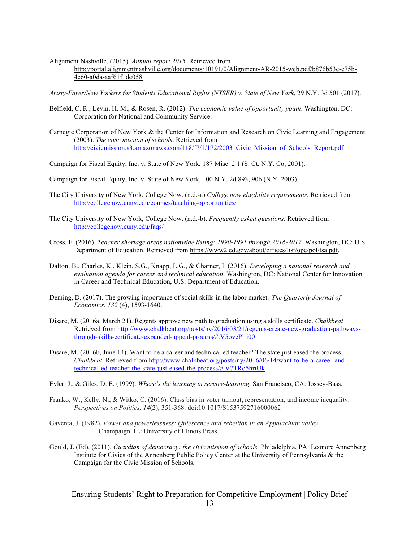#### Alignment Nashville. (2015). *Annual report 2015.* Retrieved from http://portal.alignmentnashville.org/documents/10191/0/Alignment-AR-2015-web.pdf/b876b53c-e75b-4e60-a0da-aaf61f1dc058

*Aristy-Farer/New Yorkers for Students Educational Rights (NYSER) v. State of New York*, 29 N.Y. 3d 501 (2017).

- Belfield, C. R., Levin, H. M., & Rosen, R. (2012). *The economic value of opportunity youth*. Washington, DC: Corporation for National and Community Service.
- Carnegie Corporation of New York & the Center for Information and Research on Civic Learning and Engagement. (2003). *The civic mission of schools*. Retrieved from http://civicmission.s3.amazonaws.com/118/f7/1/172/2003 Civic\_Mission\_of\_Schools\_Report.pdf
- Campaign for Fiscal Equity, Inc. v. State of New York, 187 Misc. 2 1 (S. Ct, N.Y. Co, 2001).
- Campaign for Fiscal Equity, Inc. v. State of New York, 100 N.Y. 2d 893, 906 (N.Y. 2003).
- The City University of New York, College Now. (n.d.-a) *College now eligibility requirements.* Retrieved from http://collegenow.cuny.edu/courses/teaching-opportunities/
- The City University of New York, College Now. (n.d.-b). *Frequently asked questions*. Retrieved from http://collegenow.cuny.edu/faqs/
- Cross, F. (2016). *Teacher shortage areas nationwide listing: 1990-1991 through 2016-2017,* Washington, DC: U.S. Department of Education. Retrieved from https://www2.ed.gov/about/offices/list/ope/pol/tsa.pdf.
- Dalton, B., Charles, K., Klein, S.G., Knapp, L.G., & Charner, I. (2016). *Developing a national research and evaluation agenda for career and technical education.* Washington, DC: National Center for Innovation in Career and Technical Education, U.S. Department of Education.
- Deming, D. (2017). The growing importance of social skills in the labor market. *The Quarterly Journal of Economics*, *132* (4), 1593-1640.
- Disare, M. (2016a, March 21). Regents approve new path to graduation using a skills certificate. *Chalkbeat*. Retrieved from http://www.chalkbeat.org/posts/ny/2016/03/21/regents-create-new-graduation-pathwaysthrough-skills-certificate-expanded-appeal-process/#.V5ovePlri00
- Disare, M. (2016b, June 14). Want to be a career and technical ed teacher? The state just eased the process. *Chalkbeat*. Retrieved from http://www.chalkbeat.org/posts/ny/2016/06/14/want-to-be-a-career-andtechnical-ed-teacher-the-state-just-eased-the-process/#.V7TRo5hriUk
- Eyler, J., & Giles, D. E. (1999). *Where's the learning in service-learning.* San Francisco, CA: Jossey-Bass.
- Franko, W., Kelly, N., & Witko, C. (2016). Class bias in voter turnout, representation, and income inequality. *Perspectives on Politics, 14*(2), 351-368. doi:10.1017/S1537592716000062
- Gaventa, J. (1982). *Power and powerlessness: Quiescence and rebellion in an Appalachian valley*. Champaign, IL: University of Illinois Press.
- Gould, J. (Ed). (2011). *Guardian of democracy: the civic mission of schools.* Philadelphia, PA: Leonore Annenberg Institute for Civics of the Annenberg Public Policy Center at the University of Pennsylvania & the Campaign for the Civic Mission of Schools.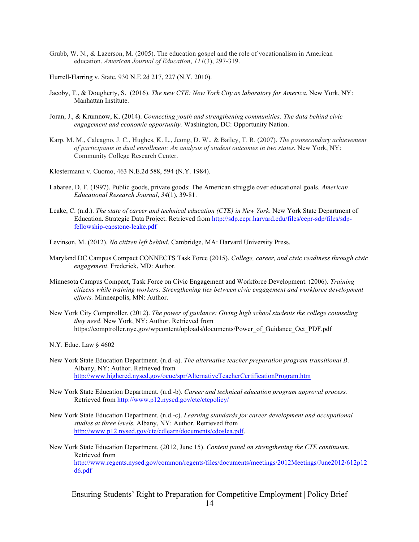Grubb, W. N., & Lazerson, M. (2005). The education gospel and the role of vocationalism in American education. *American Journal of Education*, *111*(3), 297-319.

Hurrell-Harring v. State, 930 N.E.2d 217, 227 (N.Y. 2010).

- Jacoby, T., & Dougherty, S. (2016). *The new CTE: New York City as laboratory for America.* New York, NY: Manhattan Institute.
- Joran, J., & Krumnow, K. (2014). *Connecting youth and strengthening communities: The data behind civic engagement and economic opportunity.* Washington, DC: Opportunity Nation.
- Karp, M. M., Calcagno, J. C., Hughes, K. L., Jeong, D. W., & Bailey, T. R. (2007). *The postsecondary achievement of participants in dual enrollment: An analysis of student outcomes in two states.* New York, NY: Community College Research Center.

Klostermann v. Cuomo, 463 N.E.2d 588, 594 (N.Y. 1984).

- Labaree, D. F. (1997). Public goods, private goods: The American struggle over educational goals. *American Educational Research Journal*, *34*(1), 39-81.
- Leake, C. (n.d.). *The state of career and technical education (CTE) in New York*. New York State Department of Education. Strategic Data Project. Retrieved from http://sdp.cepr.harvard.edu/files/cepr-sdp/files/sdpfellowship-capstone-leake.pdf
- Levinson, M. (2012). *No citizen left behind*. Cambridge, MA: Harvard University Press.
- Maryland DC Campus Compact CONNECTS Task Force (2015). *College, career, and civic readiness through civic engagement*. Frederick, MD: Author.
- Minnesota Campus Compact, Task Force on Civic Engagement and Workforce Development. (2006). *Training citizens while training workers: Strengthening ties between civic engagement and workforce development efforts.* Minneapolis, MN: Author.
- New York City Comptroller. (2012). *The power of guidance: Giving high school students the college counseling they need*. New York, NY: Author. Retrieved from https://comptroller.nyc.gov/wpcontent/uploads/documents/Power\_of\_Guidance\_Oct\_PDF.pdf

N.Y. Educ. Law § 4602

- New York State Education Department. (n.d.-a). *The alternative teacher preparation program transitional B*. Albany, NY: Author. Retrieved from http://www.highered.nysed.gov/ocue/spr/AlternativeTeacherCertificationProgram.htm
- New York State Education Department. (n.d.-b). *Career and technical education program approval process.* Retrieved from http://www.p12.nysed.gov/cte/ctepolicy/
- New York State Education Department. (n.d.-c). *Learning standards for career development and occupational studies at three levels.* Albany, NY: Author. Retrieved from http://www.p12.nysed.gov/cte/cdlearn/documents/cdoslea.pdf.

New York State Education Department. (2012, June 15). *Content panel on strengthening the CTE continuum*. Retrieved from http://www.regents.nysed.gov/common/regents/files/documents/meetings/2012Meetings/June2012/612p12 d6.pdf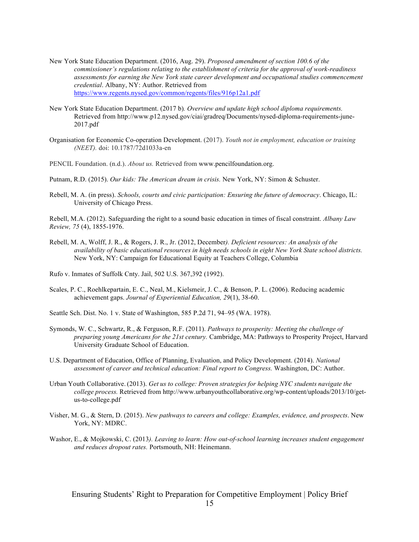- New York State Education Department. (2016, Aug. 29). *Proposed amendment of section 100.6 of the commissioner's regulations relating to the establishment of criteria for the approval of work-readiness assessments for earning the New York state career development and occupational studies commencement credential*. Albany, NY: Author. Retrieved from https://www.regents.nysed.gov/common/regents/files/916p12a1.pdf
- New York State Education Department. (2017 b)*. Overview and update high school diploma requirements.*  Retrieved from http://www.p12.nysed.gov/ciai/gradreq/Documents/nysed-diploma-requirements-june-2017.pdf
- Organisation for Economic Co-operation Development. (2017). *Youth not in employment, education or training (NEET).* doi: 10.1787/72d1033a-en
- PENCIL Foundation. (n.d.). *About us.* Retrieved from www.pencilfoundation.org.
- Putnam, R.D. (2015). *Our kids: The American dream in crisis.* New York, NY: Simon & Schuster.
- Rebell, M. A. (in press). *Schools, courts and civic participation: Ensuring the future of democracy*. Chicago, IL: University of Chicago Press.

Rebell, M.A. (2012). Safeguarding the right to a sound basic education in times of fiscal constraint. *Albany Law Review, 75* (4), 1855-1976.

Rebell, M. A, Wolff, J. R., & Rogers, J. R., Jr. (2012, December*). Deficient resources: An analysis of the availability of basic educational resources in high needs schools in eight New York State school districts.*  New York, NY: Campaign for Educational Equity at Teachers College, Columbia

Rufo v. Inmates of Suffolk Cnty. Jail, 502 U.S. 367,392 (1992).

Scales, P. C., Roehlkepartain, E. C., Neal, M., Kielsmeir, J. C., & Benson, P. L. (2006). Reducing academic achievement gaps. *Journal of Experiential Education, 29*(1), 38-60.

Seattle Sch. Dist. No. 1 v. State of Washington, 585 P.2d 71, 94–95 (WA. 1978).

- Symonds, W. C., Schwartz, R., & Ferguson, R.F. (2011). *Pathways to prosperity: Meeting the challenge of preparing young Americans for the 21st century.* Cambridge, MA: Pathways to Prosperity Project, Harvard University Graduate School of Education.
- U.S. Department of Education, Office of Planning, Evaluation, and Policy Development. (2014). *National assessment of career and technical education: Final report to Congress.* Washington, DC: Author.
- Urban Youth Collaborative. (2013). *Get us to college: Proven strategies for helping NYC students navigate the college process.* Retrieved from http://www.urbanyouthcollaborative.org/wp-content/uploads/2013/10/getus-to-college.pdf
- Visher, M. G., & Stern, D. (2015). *New pathways to careers and college: Examples, evidence, and prospects*. New York, NY: MDRC.
- Washor, E., & Mojkowski, C. (2013*). Leaving to learn: How out-of-school learning increases student engagement and reduces dropout rates.* Portsmouth, NH: Heinemann.